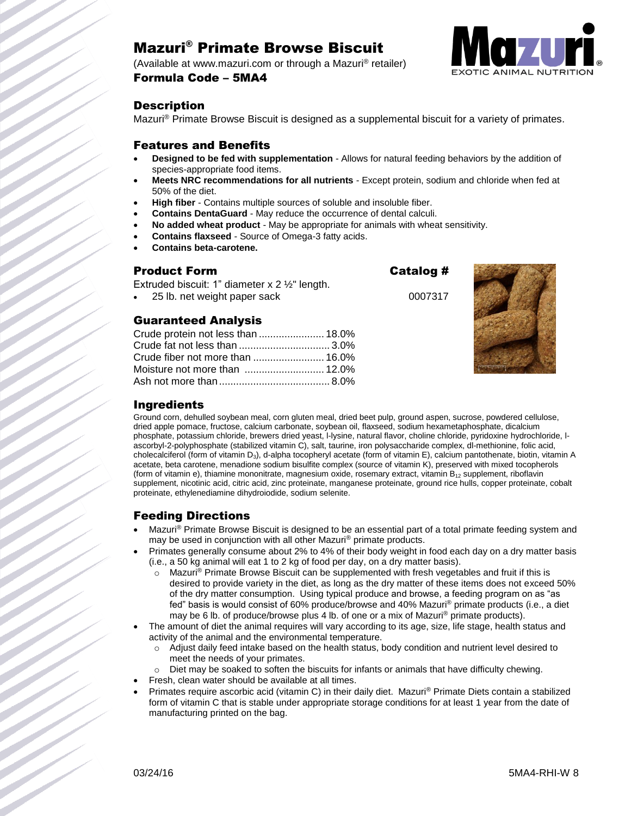# Mazuri® Primate Browse Biscuit

(Available at www.mazuri.com or through a Mazuri® retailer) Formula Code – 5MA4



#### **Description**

Mazuri® Primate Browse Biscuit is designed as a supplemental biscuit for a variety of primates.

#### Features and Benefits

- **Designed to be fed with supplementation**  Allows for natural feeding behaviors by the addition of species-appropriate food items.
- **Meets NRC recommendations for all nutrients** Except protein, sodium and chloride when fed at 50% of the diet.
- **High fiber** Contains multiple sources of soluble and insoluble fiber.
- **Contains DentaGuard** May reduce the occurrence of dental calculi.
- **No added wheat product** May be appropriate for animals with wheat sensitivity.
- **Contains flaxseed**  Source of Omega-3 fatty acids.
- **Contains beta-carotene.**

#### Product Form Catalog #

Extruded biscuit: 1" diameter x 2 ½" length.

25 lb. net weight paper sack 0007317

### Guaranteed Analysis

| Crude protein not less than  18.0% |  |
|------------------------------------|--|
| Crude fat not less than  3.0%      |  |
|                                    |  |
|                                    |  |
|                                    |  |



#### **Ingredients**

Ground corn, dehulled soybean meal, corn gluten meal, dried beet pulp, ground aspen, sucrose, powdered cellulose, dried apple pomace, fructose, calcium carbonate, soybean oil, flaxseed, sodium hexametaphosphate, dicalcium phosphate, potassium chloride, brewers dried yeast, l-lysine, natural flavor, choline chloride, pyridoxine hydrochloride, lascorbyl-2-polyphosphate (stabilized vitamin C), salt, taurine, iron polysaccharide complex, dl-methionine, folic acid, cholecalciferol (form of vitamin D<sub>3</sub>), d-alpha tocopheryl acetate (form of vitamin E), calcium pantothenate, biotin, vitamin A acetate, beta carotene, menadione sodium bisulfite complex (source of vitamin K), preserved with mixed tocopherols (form of vitamin e), thiamine mononitrate, magnesium oxide, rosemary extract, vitamin  $B_{12}$  supplement, riboflavin supplement, nicotinic acid, citric acid, zinc proteinate, manganese proteinate, ground rice hulls, copper proteinate, cobalt proteinate, ethylenediamine dihydroiodide, sodium selenite.

#### Feeding Directions

- Mazuri<sup>®</sup> Primate Browse Biscuit is designed to be an essential part of a total primate feeding system and may be used in conjunction with all other Mazuri® primate products.
- Primates generally consume about 2% to 4% of their body weight in food each day on a dry matter basis (i.e., a 50 kg animal will eat 1 to 2 kg of food per day, on a dry matter basis).
	- o Mazuri® Primate Browse Biscuit can be supplemented with fresh vegetables and fruit if this is desired to provide variety in the diet, as long as the dry matter of these items does not exceed 50% of the dry matter consumption. Using typical produce and browse, a feeding program on as "as fed" basis is would consist of 60% produce/browse and 40% Mazuri® primate products (i.e., a diet may be 6 lb. of produce/browse plus 4 lb. of one or a mix of Mazuri<sup>®</sup> primate products).
- The amount of diet the animal requires will vary according to its age, size, life stage, health status and activity of the animal and the environmental temperature.
	- o Adjust daily feed intake based on the health status, body condition and nutrient level desired to meet the needs of your primates.
	- $\circ$  Diet may be soaked to soften the biscuits for infants or animals that have difficulty chewing.
- Fresh, clean water should be available at all times.
- Primates require ascorbic acid (vitamin C) in their daily diet. Mazuri® Primate Diets contain a stabilized form of vitamin C that is stable under appropriate storage conditions for at least 1 year from the date of manufacturing printed on the bag.